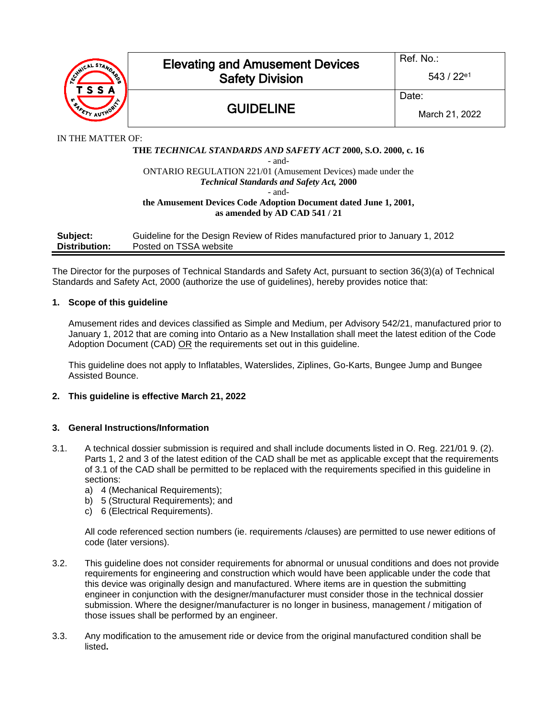

IN THE MATTER OF:

#### **THE** *TECHNICAL STANDARDS AND SAFETY ACT* **2000, S.O. 2000, c. 16** - and-ONTARIO REGULATION 221/01 (Amusement Devices) made under the *Technical Standards and Safety Act,* **2000** - and-

#### **the Amusement Devices Code Adoption Document dated June 1, 2001, as amended by AD CAD 541 / 21**

| Subject:      | Guideline for the Design Review of Rides manufactured prior to January 1, 2012 |
|---------------|--------------------------------------------------------------------------------|
| Distribution: | Posted on TSSA website                                                         |

The Director for the purposes of Technical Standards and Safety Act, pursuant to section 36(3)(a) of Technical Standards and Safety Act, 2000 (authorize the use of guidelines), hereby provides notice that:

### **1. Scope of this guideline**

Amusement rides and devices classified as Simple and Medium, per Advisory 542/21, manufactured prior to January 1, 2012 that are coming into Ontario as a New Installation shall meet the latest edition of the Code Adoption Document (CAD) OR the requirements set out in this guideline.

This guideline does not apply to Inflatables, Waterslides, Ziplines, Go-Karts, Bungee Jump and Bungee Assisted Bounce.

## **2. This guideline is effective March 21, 2022**

### **3. General Instructions/Information**

- 3.1. A technical dossier submission is required and shall include documents listed in O. Reg. 221/01 9. (2). Parts 1, 2 and 3 of the latest edition of the CAD shall be met as applicable except that the requirements of 3.1 of the CAD shall be permitted to be replaced with the requirements specified in this guideline in sections:
	- a) 4 (Mechanical Requirements);
	- b) 5 (Structural Requirements); and
	- c) 6 (Electrical Requirements).

All code referenced section numbers (ie. requirements /clauses) are permitted to use newer editions of code (later versions).

- 3.2. This guideline does not consider requirements for abnormal or unusual conditions and does not provide requirements for engineering and construction which would have been applicable under the code that this device was originally design and manufactured. Where items are in question the submitting engineer in conjunction with the designer/manufacturer must consider those in the technical dossier submission. Where the designer/manufacturer is no longer in business, management / mitigation of those issues shall be performed by an engineer.
- 3.3. Any modification to the amusement ride or device from the original manufactured condition shall be listed**.**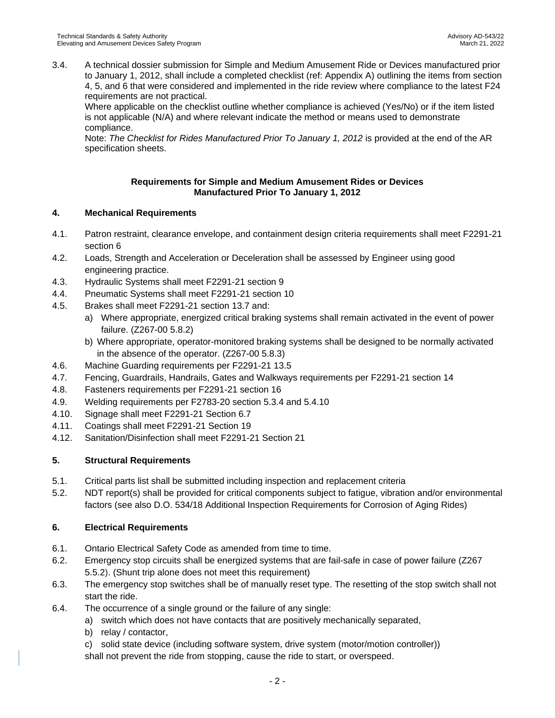3.4. A technical dossier submission for Simple and Medium Amusement Ride or Devices manufactured prior to January 1, 2012, shall include a completed checklist (ref: Appendix A) outlining the items from section 4, 5, and 6 that were considered and implemented in the ride review where compliance to the latest F24 requirements are not practical.

Where applicable on the checklist outline whether compliance is achieved (Yes/No) or if the item listed is not applicable (N/A) and where relevant indicate the method or means used to demonstrate compliance.

Note: *The Checklist for Rides Manufactured Prior To January 1, 2012* is provided at the end of the AR specification sheets.

## **Requirements for Simple and Medium Amusement Rides or Devices Manufactured Prior To January 1, 2012**

# **4. Mechanical Requirements**

- 4.1. Patron restraint, clearance envelope, and containment design criteria requirements shall meet F2291-21 section 6
- 4.2. Loads, Strength and Acceleration or Deceleration shall be assessed by Engineer using good engineering practice.
- 4.3. Hydraulic Systems shall meet F2291-21 section 9
- 4.4. Pneumatic Systems shall meet F2291-21 section 10
- 4.5. Brakes shall meet F2291-21 section 13.7 and:
	- a) Where appropriate, energized critical braking systems shall remain activated in the event of power failure. (Z267-00 5.8.2)
	- b) Where appropriate, operator-monitored braking systems shall be designed to be normally activated in the absence of the operator. (Z267-00 5.8.3)
- 4.6. Machine Guarding requirements per F2291-21 13.5
- 4.7. Fencing, Guardrails, Handrails, Gates and Walkways requirements per F2291-21 section 14
- 4.8. Fasteners requirements per F2291-21 section 16
- 4.9. Welding requirements per F2783-20 section 5.3.4 and 5.4.10
- 4.10. Signage shall meet F2291-21 Section 6.7
- 4.11. Coatings shall meet F2291-21 Section 19
- 4.12. Sanitation/Disinfection shall meet F2291-21 Section 21

## **5. Structural Requirements**

- 5.1. Critical parts list shall be submitted including inspection and replacement criteria
- 5.2. NDT report(s) shall be provided for critical components subject to fatigue, vibration and/or environmental factors (see also D.O. 534/18 Additional Inspection Requirements for Corrosion of Aging Rides)

## **6. Electrical Requirements**

- 6.1. Ontario Electrical Safety Code as amended from time to time.
- 6.2. Emergency stop circuits shall be energized systems that are fail-safe in case of power failure (Z267 5.5.2). (Shunt trip alone does not meet this requirement)
- 6.3. The emergency stop switches shall be of manually reset type. The resetting of the stop switch shall not start the ride.
- 6.4. The occurrence of a single ground or the failure of any single:
	- a) switch which does not have contacts that are positively mechanically separated,
	- b) relay / contactor,
	- c) solid state device (including software system, drive system (motor/motion controller)) shall not prevent the ride from stopping, cause the ride to start, or overspeed.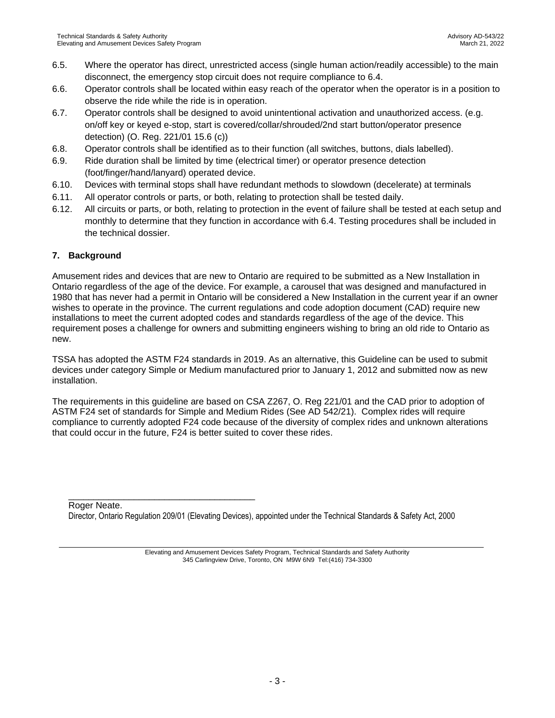- 6.5. Where the operator has direct, unrestricted access (single human action/readily accessible) to the main disconnect, the emergency stop circuit does not require compliance to 6.4.
- 6.6. Operator controls shall be located within easy reach of the operator when the operator is in a position to observe the ride while the ride is in operation.
- 6.7. Operator controls shall be designed to avoid unintentional activation and unauthorized access. (e.g. on/off key or keyed e-stop, start is covered/collar/shrouded/2nd start button/operator presence detection) (O. Reg. 221/01 15.6 (c))
- 6.8. Operator controls shall be identified as to their function (all switches, buttons, dials labelled).
- 6.9. Ride duration shall be limited by time (electrical timer) or operator presence detection (foot/finger/hand/lanyard) operated device.
- 6.10. Devices with terminal stops shall have redundant methods to slowdown (decelerate) at terminals
- 6.11. All operator controls or parts, or both, relating to protection shall be tested daily.
- 6.12. All circuits or parts, or both, relating to protection in the event of failure shall be tested at each setup and monthly to determine that they function in accordance with 6.4. Testing procedures shall be included in the technical dossier.

# **7. Background**

Amusement rides and devices that are new to Ontario are required to be submitted as a New Installation in Ontario regardless of the age of the device. For example, a carousel that was designed and manufactured in 1980 that has never had a permit in Ontario will be considered a New Installation in the current year if an owner wishes to operate in the province. The current regulations and code adoption document (CAD) require new installations to meet the current adopted codes and standards regardless of the age of the device. This requirement poses a challenge for owners and submitting engineers wishing to bring an old ride to Ontario as new.

TSSA has adopted the ASTM F24 standards in 2019. As an alternative, this Guideline can be used to submit devices under category Simple or Medium manufactured prior to January 1, 2012 and submitted now as new installation.

The requirements in this guideline are based on CSA Z267, O. Reg 221/01 and the CAD prior to adoption of ASTM F24 set of standards for Simple and Medium Rides (See AD 542/21). Complex rides will require compliance to currently adopted F24 code because of the diversity of complex rides and unknown alterations that could occur in the future, F24 is better suited to cover these rides.

Roger Neate.

\_\_\_\_\_\_\_\_\_\_\_\_\_\_\_\_\_\_\_\_\_\_\_\_\_\_\_\_\_\_\_\_\_\_\_\_\_

Director, Ontario Regulation 209/01 (Elevating Devices), appointed under the Technical Standards & Safety Act, 2000

Elevating and Amusement Devices Safety Program, Technical Standards and Safety Authority 345 Carlingview Drive, Toronto, ON M9W 6N9 Tel:(416) 734-3300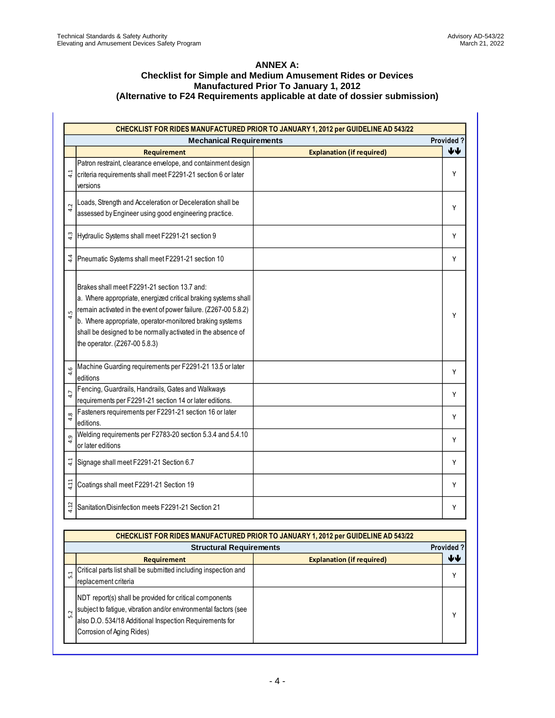### **ANNEX A: Checklist for Simple and Medium Amusement Rides or Devices Manufactured Prior To January 1, 2012 (Alternative to F24 Requirements applicable at date of dossier submission)**

|                  |                                                                                                                                                                                                                                                                                                                                                | CHECKLIST FOR RIDES MANUFACTURED PRIOR TO JANUARY 1, 2012 per GUIDELINE AD 543/22        |           |  |
|------------------|------------------------------------------------------------------------------------------------------------------------------------------------------------------------------------------------------------------------------------------------------------------------------------------------------------------------------------------------|------------------------------------------------------------------------------------------|-----------|--|
|                  | <b>Mechanical Requirements</b><br>Provided?                                                                                                                                                                                                                                                                                                    |                                                                                          |           |  |
|                  | <b>Requirement</b>                                                                                                                                                                                                                                                                                                                             | <b>Explanation (if required)</b>                                                         | ₩         |  |
|                  | Patron restraint, clearance envelope, and containment design<br>criteria requirements shall meet F2291-21 section 6 or later<br>versions                                                                                                                                                                                                       |                                                                                          | Υ         |  |
| 4.2              | Loads, Strength and Acceleration or Deceleration shall be<br>assessed by Engineer using good engineering practice.                                                                                                                                                                                                                             |                                                                                          | Υ         |  |
|                  | Hydraulic Systems shall meet F2291-21 section 9                                                                                                                                                                                                                                                                                                |                                                                                          | Υ         |  |
|                  | Pneumatic Systems shall meet F2291-21 section 10                                                                                                                                                                                                                                                                                               |                                                                                          | Y         |  |
| Lņ               | Brakes shall meet F2291-21 section 13.7 and:<br>a. Where appropriate, energized critical braking systems shall<br>remain activated in the event of power failure. (Z267-00 5.8.2)<br>b. Where appropriate, operator-monitored braking systems<br>shall be designed to be normally activated in the absence of<br>the operator. (Z267-00 5.8.3) |                                                                                          | Υ         |  |
| $\mathbf \omega$ | Machine Guarding requirements per F2291-21 13.5 or later<br>editions                                                                                                                                                                                                                                                                           |                                                                                          | Υ         |  |
|                  | Fencing, Guardrails, Handrails, Gates and Walkways<br>requirements per F2291-21 section 14 or later editions.                                                                                                                                                                                                                                  |                                                                                          | Υ         |  |
| $\infty$         | Fasteners requirements per F2291-21 section 16 or later<br>editions.                                                                                                                                                                                                                                                                           |                                                                                          | Y         |  |
|                  | Welding requirements per F2783-20 section 5.3.4 and 5.4.10<br>or later editions                                                                                                                                                                                                                                                                |                                                                                          | Υ         |  |
| $\frac{1}{4}$    | Signage shall meet F2291-21 Section 6.7                                                                                                                                                                                                                                                                                                        |                                                                                          | Y         |  |
|                  | Coatings shall meet F2291-21 Section 19                                                                                                                                                                                                                                                                                                        |                                                                                          | Υ         |  |
|                  | Sanitation/Disinfection meets F2291-21 Section 21                                                                                                                                                                                                                                                                                              |                                                                                          | Υ         |  |
|                  |                                                                                                                                                                                                                                                                                                                                                | <b>CHECKLIST FOR RIDES MANUFACTURED PRIOR TO JANUARY 1, 2012 per GUIDELINE AD 543/22</b> |           |  |
|                  | <b>Structural Requirements</b>                                                                                                                                                                                                                                                                                                                 |                                                                                          | Provided? |  |
|                  | <b>Requirement</b>                                                                                                                                                                                                                                                                                                                             | <b>Explanation (if required)</b>                                                         | ₩         |  |
| 5.1              | Critical parts list shall be submitted including inspection and<br>replacement criteria                                                                                                                                                                                                                                                        |                                                                                          | Υ         |  |
|                  | NDT report(s) shall be provided for critical components<br>subject to fatigue, vibration and/or environmental factors (see                                                                                                                                                                                                                     |                                                                                          |           |  |

|                                | CHECKLIST FOR RIDES MANUFACTURED PRIOR TO JANUARY 1, 2012 per GUIDELINE AD 543/22                                                                                                                                  |                                  |                  |  |  |  |  |
|--------------------------------|--------------------------------------------------------------------------------------------------------------------------------------------------------------------------------------------------------------------|----------------------------------|------------------|--|--|--|--|
| <b>Structural Requirements</b> |                                                                                                                                                                                                                    |                                  | <b>Provided?</b> |  |  |  |  |
|                                | <b>Requirement</b>                                                                                                                                                                                                 | <b>Explanation (if required)</b> | ₩                |  |  |  |  |
| H<br>LŃ                        | Critical parts list shall be submitted including inspection and<br>replacement criteria                                                                                                                            |                                  | $\checkmark$     |  |  |  |  |
| ŗ.<br>m                        | NDT report(s) shall be provided for critical components<br>subject to fatigue, vibration and/or environmental factors (see<br>also D.O. 534/18 Additional Inspection Requirements for<br>Corrosion of Aging Rides) |                                  | v                |  |  |  |  |